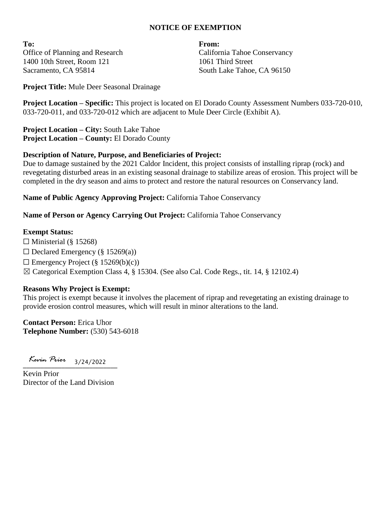### **NOTICE OF EXEMPTION**

**To: From:** Office of Planning and Research 1400 10th Street, Room 121 Sacramento, CA 95814

California Tahoe Conservancy 1061 Third Street South Lake Tahoe, CA 96150

**Project Title:** Mule Deer Seasonal Drainage

**Project Location – Specific:** This project is located on El Dorado County Assessment Numbers 033-720-010, 033-720-011, and 033-720-012 which are adjacent to Mule Deer Circle (Exhibit A).

**Project Location – City:** South Lake Tahoe **Project Location – County:** El Dorado County

#### **Description of Nature, Purpose, and Beneficiaries of Project:**

Due to damage sustained by the 2021 Caldor Incident, this project consists of installing riprap (rock) and revegetating disturbed areas in an existing seasonal drainage to stabilize areas of erosion. This project will be completed in the dry season and aims to protect and restore the natural resources on Conservancy land.

**Name of Public Agency Approving Project:** California Tahoe Conservancy

**Name of Person or Agency Carrying Out Project:** California Tahoe Conservancy

#### **Exempt Status:**

 $\Box$  Ministerial (§ 15268)  $\Box$  Declared Emergency (§ 15269(a))  $\Box$  Emergency Project (§ 15269(b)(c)) ☒ Categorical Exemption Class 4, § 15304. (See also Cal. Code Regs., tit. 14, § 12102.4)

#### **Reasons Why Project is Exempt:**

This project is exempt because it involves the placement of riprap and revegetating an existing drainage to provide erosion control measures, which will result in minor alterations to the land.

**Contact Person:** Erica Uhor **Telephone Number:** (530) 543-6018

 $\frac{1}{3/24/2022}$ 

Kevin Prior Director of the Land Division